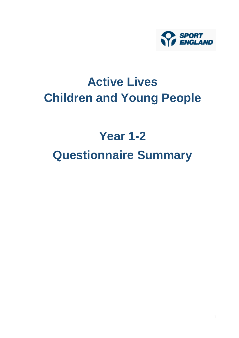

# **Active Lives Children and Young People**

# **Year 1-2 Questionnaire Summary**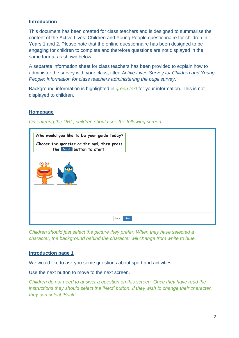#### **Introduction**

This document has been created for class teachers and is designed to summarise the content of the Active Lives: Children and Young People questionnaire for children in Years 1 and 2. Please note that the online questionnaire has been designed to be engaging for children to complete and therefore questions are not displayed in the same format as shown below.

A separate information sheet for class teachers has been provided to explain how to administer the survey with your class, titled *Active Lives Survey for Children and Young People: Information for class teachers administering the pupil survey*.

Background information is highlighted in *green text* for your information. This is not displayed to children.

## **Homepage**

*On entering the URL, children should see the following screen.* 



*Children should just select the picture they prefer. When they have selected a character, the background behind the character will change from white to blue.*

#### **Introduction page 1**

We would like to ask you some questions about sport and activities.

Use the next button to move to the next screen.

*Children do not need to answer a question on this screen. Once they have read the instructions they should select the 'Next' button. If they wish to change their character, they can select 'Back'.*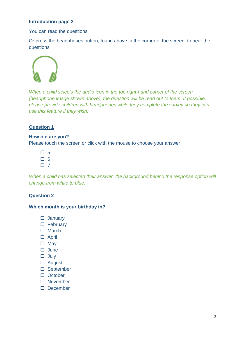## **Introduction page 2**

You can read the questions

Or press the headphones button, found above in the corner of the screen, to hear the questions



*When a child selects the audio icon in the top right-hand corner of the screen (headphone image shown above), the question will be read out to them. If possible, please provide children with headphones while they complete the survey so they can use this feature if they wish.*

## **Question 1**

#### **How old are you?**

Please touch the screen or click with the mouse to choose your answer.

- 口 5
- 口 6
- $\Box$  7

*When a child has selected their answer, the background behind the response option will change from white to blue.*

#### **Question 2**

#### **Which month is your birthday in?**

- January
- □ February
- $\Box$  March
- □ April
- $\square$  May
- $\Box$  June
- $\Box$  July
- August
- □ September
- $\Box$  October
- □ November
- December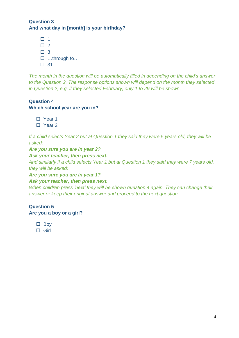# **Question 3 And what day in [month] is your birthday?**

 $\Box$  1  $\Box$  2  $\Box$  3 …through to… □ 31

*The month in the question will be automatically filled in depending on the child's answer to the Question 2. The response options shown will depend on the month they selected in Question 2, e.g. if they selected February, only 1 to 29 will be shown.* 

# **Question 4**

# **Which school year are you in?**

- □ Year 1
- □ Year 2

*If a child selects Year 2 but at Question 1 they said they were 5 years old, they will be asked:*

# *Are you sure you are in year 2?*

# *Ask your teacher, then press next.*

*And similarly if a child selects Year 1 but at Question 1 they said they were 7 years old, they will be asked:*

*Are you sure you are in year 1?*

## *Ask your teacher, then press next.*

*When children press 'next' they will be shown question 4 again. They can change their answer or keep their original answer and proceed to the next question.* 

# **Question 5**

# **Are you a boy or a girl?**

- $\square$  Boy
- □ Girl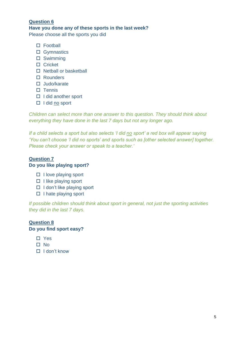# **Question 6 Have you done any of these sports in the last week?**

Please choose all the sports you did

- □ Football
- □ Gymnastics
- □ Swimming
- □ Cricket
- $\square$  Netball or basketball
- □ Rounders
- □ Judo/karate
- $\square$  Tennis
- $\Box$  I did another sport
- $\Box$  I did no sport

*Children can select more than one answer to this question. They should think about everything they have done in the last 7 days but not any longer ago.*

*If a child selects a sport but also selects 'I did no sport' a red box will appear saying 'You can't choose 'I did no sports' and sports such as [other selected answer] together. Please check your answer or speak to a teacher.'*

# **Question 7 Do you like playing sport?**

- $\Box$  I love playing sport
- $\Box$  I like playing sport
- $\Box$  I don't like playing sport
- $\Box$  I hate playing sport

*If possible children should think about sport in general, not just the sporting activities they did in the last 7 days.*

# **Question 8 Do you find sport easy?**

- □ Yes
- $\Pi$  No
- $\Box$  I don't know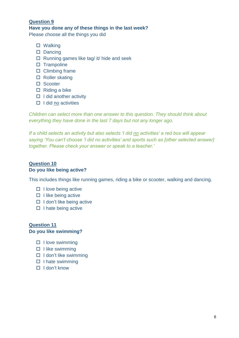# **Question 9 Have you done any of these things in the last week?**

Please choose all the things you did

- □ Walking
- $\square$  Dancing
- $\Box$  Running games like tag/ it/ hide and seek
- $\square$  Trampoline
- $\square$  Climbing frame
- □ Roller skating
- □ Scooter
- $\Box$  Riding a bike
- $\Box$  I did another activity
- $\Box$  I did no activities

*Children can select more than one answer to this question. They should think about everything they have done in the last 7 days but not any longer ago.*

*If a child selects an activity but also selects 'I did no activities' a red box will appear saying 'You can't choose 'I did no activities' and sports such as [other selected answer] together. Please check your answer or speak to a teacher.'*

# **Question 10 Do you like being active?**

This includes things like running games, riding a bike or scooter, walking and dancing.

- $\Box$  I love being active
- $\Box$  I like being active
- $\Box$  I don't like being active
- $\Box$  I hate being active

#### **Question 11 Do you like swimming?**

- $\Box$  I love swimming
- $\Box$  I like swimming
- $\Box$  I don't like swimming
- $\Box$  I hate swimming
- $\Box$  I don't know